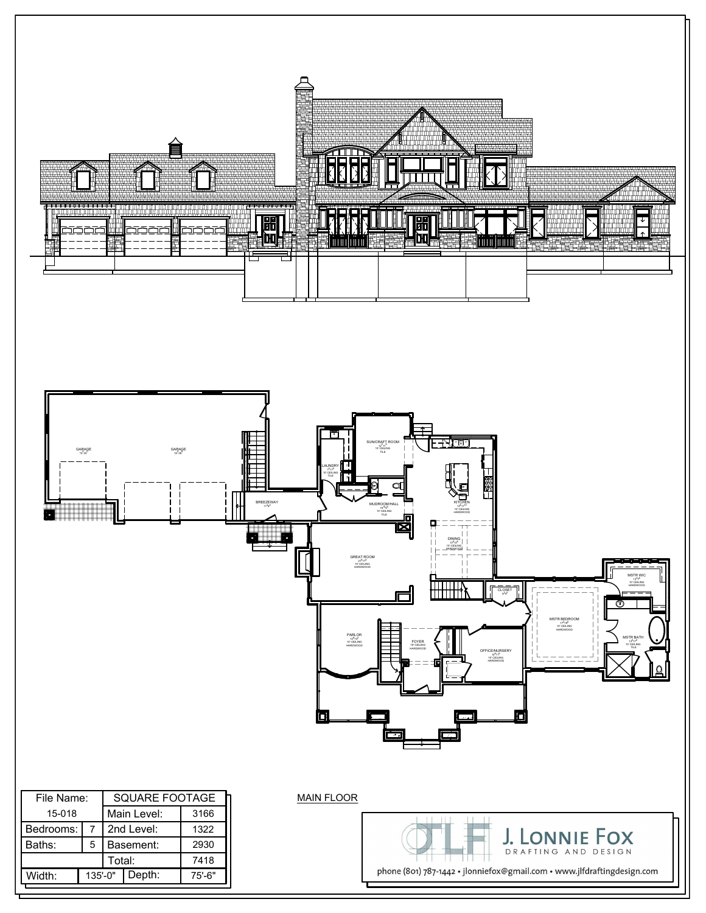